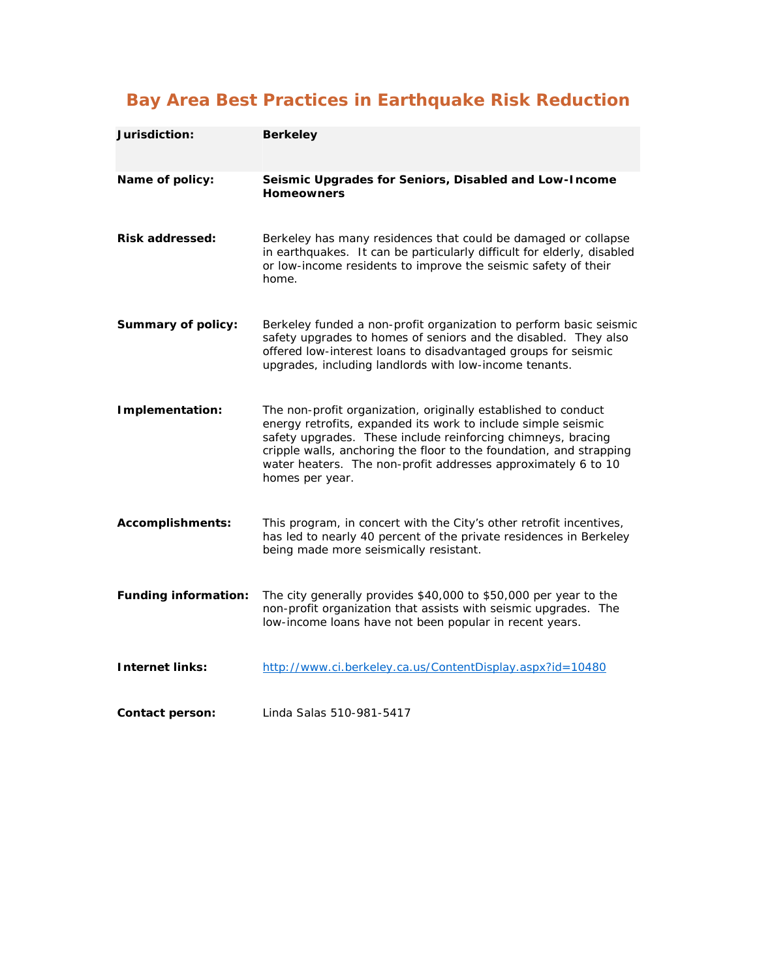## **Bay Area Best Practices in Earthquake Risk Reduction**

| Jurisdiction:               | <b>Berkeley</b>                                                                                                                                                                                                                                                                                                                                            |
|-----------------------------|------------------------------------------------------------------------------------------------------------------------------------------------------------------------------------------------------------------------------------------------------------------------------------------------------------------------------------------------------------|
| Name of policy:             | Seismic Upgrades for Seniors, Disabled and Low-Income<br><b>Homeowners</b>                                                                                                                                                                                                                                                                                 |
| <b>Risk addressed:</b>      | Berkeley has many residences that could be damaged or collapse<br>in earthquakes. It can be particularly difficult for elderly, disabled<br>or low-income residents to improve the seismic safety of their<br>home.                                                                                                                                        |
| <b>Summary of policy:</b>   | Berkeley funded a non-profit organization to perform basic seismic<br>safety upgrades to homes of seniors and the disabled. They also<br>offered low-interest loans to disadvantaged groups for seismic<br>upgrades, including landlords with low-income tenants.                                                                                          |
| Implementation:             | The non-profit organization, originally established to conduct<br>energy retrofits, expanded its work to include simple seismic<br>safety upgrades. These include reinforcing chimneys, bracing<br>cripple walls, anchoring the floor to the foundation, and strapping<br>water heaters. The non-profit addresses approximately 6 to 10<br>homes per year. |
| <b>Accomplishments:</b>     | This program, in concert with the City's other retrofit incentives,<br>has led to nearly 40 percent of the private residences in Berkeley<br>being made more seismically resistant.                                                                                                                                                                        |
| <b>Funding information:</b> | The city generally provides \$40,000 to \$50,000 per year to the<br>non-profit organization that assists with seismic upgrades. The<br>low-income loans have not been popular in recent years.                                                                                                                                                             |
| <b>Internet links:</b>      | http://www.ci.berkeley.ca.us/ContentDisplay.aspx?id=10480                                                                                                                                                                                                                                                                                                  |
| Contact person:             | Linda Salas 510-981-5417                                                                                                                                                                                                                                                                                                                                   |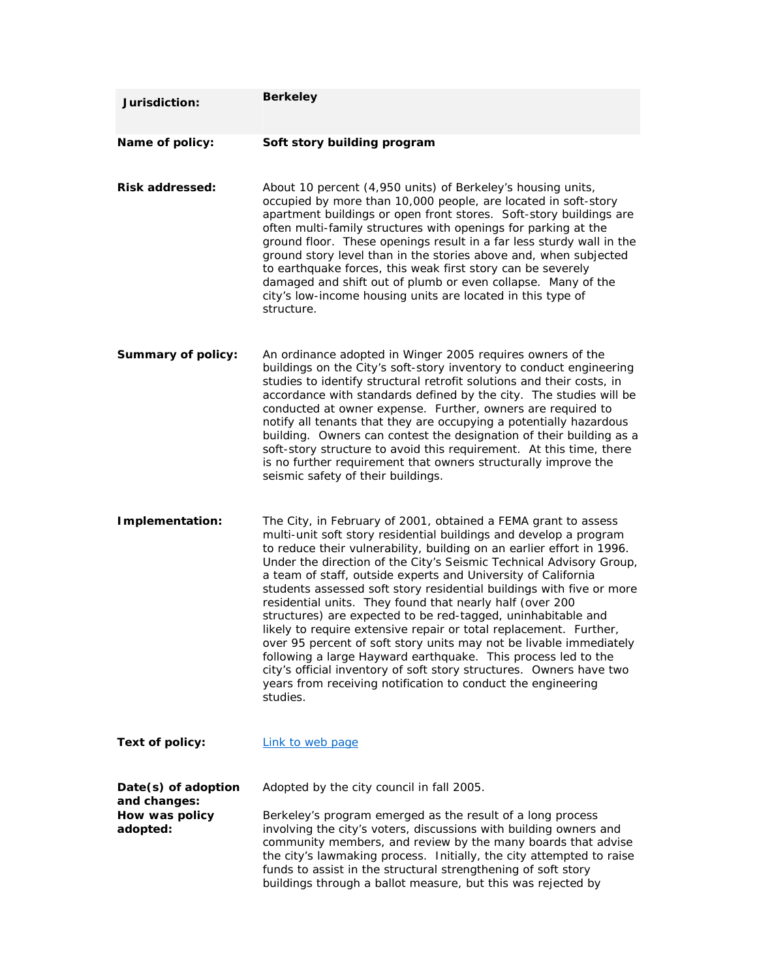| Jurisdiction:                                                     | <b>Berkeley</b>                                                                                                                                                                                                                                                                                                                                                                                                                                                                                                                                                                                                                                                                                                                                                                                                                                                                                                         |
|-------------------------------------------------------------------|-------------------------------------------------------------------------------------------------------------------------------------------------------------------------------------------------------------------------------------------------------------------------------------------------------------------------------------------------------------------------------------------------------------------------------------------------------------------------------------------------------------------------------------------------------------------------------------------------------------------------------------------------------------------------------------------------------------------------------------------------------------------------------------------------------------------------------------------------------------------------------------------------------------------------|
| Name of policy:                                                   | Soft story building program                                                                                                                                                                                                                                                                                                                                                                                                                                                                                                                                                                                                                                                                                                                                                                                                                                                                                             |
| <b>Risk addressed:</b>                                            | About 10 percent (4,950 units) of Berkeley's housing units,<br>occupied by more than 10,000 people, are located in soft-story<br>apartment buildings or open front stores. Soft-story buildings are<br>often multi-family structures with openings for parking at the<br>ground floor. These openings result in a far less sturdy wall in the<br>ground story level than in the stories above and, when subjected<br>to earthquake forces, this weak first story can be severely<br>damaged and shift out of plumb or even collapse. Many of the<br>city's low-income housing units are located in this type of<br>structure.                                                                                                                                                                                                                                                                                           |
| <b>Summary of policy:</b>                                         | An ordinance adopted in Winger 2005 requires owners of the<br>buildings on the City's soft-story inventory to conduct engineering<br>studies to identify structural retrofit solutions and their costs, in<br>accordance with standards defined by the city. The studies will be<br>conducted at owner expense. Further, owners are required to<br>notify all tenants that they are occupying a potentially hazardous<br>building. Owners can contest the designation of their building as a<br>soft-story structure to avoid this requirement. At this time, there<br>is no further requirement that owners structurally improve the<br>seismic safety of their buildings.                                                                                                                                                                                                                                             |
| Implementation:                                                   | The City, in February of 2001, obtained a FEMA grant to assess<br>multi-unit soft story residential buildings and develop a program<br>to reduce their vulnerability, building on an earlier effort in 1996.<br>Under the direction of the City's Seismic Technical Advisory Group,<br>a team of staff, outside experts and University of California<br>students assessed soft story residential buildings with five or more<br>residential units. They found that nearly half (over 200<br>structures) are expected to be red-tagged, uninhabitable and<br>likely to require extensive repair or total replacement. Further,<br>over 95 percent of soft story units may not be livable immediately<br>following a large Hayward earthquake. This process led to the<br>city's official inventory of soft story structures. Owners have two<br>years from receiving notification to conduct the engineering<br>studies. |
| Text of policy:                                                   | Link to web page                                                                                                                                                                                                                                                                                                                                                                                                                                                                                                                                                                                                                                                                                                                                                                                                                                                                                                        |
| Date(s) of adoption<br>and changes:<br>How was policy<br>adopted: | Adopted by the city council in fall 2005.<br>Berkeley's program emerged as the result of a long process<br>involving the city's voters, discussions with building owners and<br>community members, and review by the many boards that advise<br>the city's lawmaking process. Initially, the city attempted to raise<br>funds to assist in the structural strengthening of soft story<br>buildings through a ballot measure, but this was rejected by                                                                                                                                                                                                                                                                                                                                                                                                                                                                   |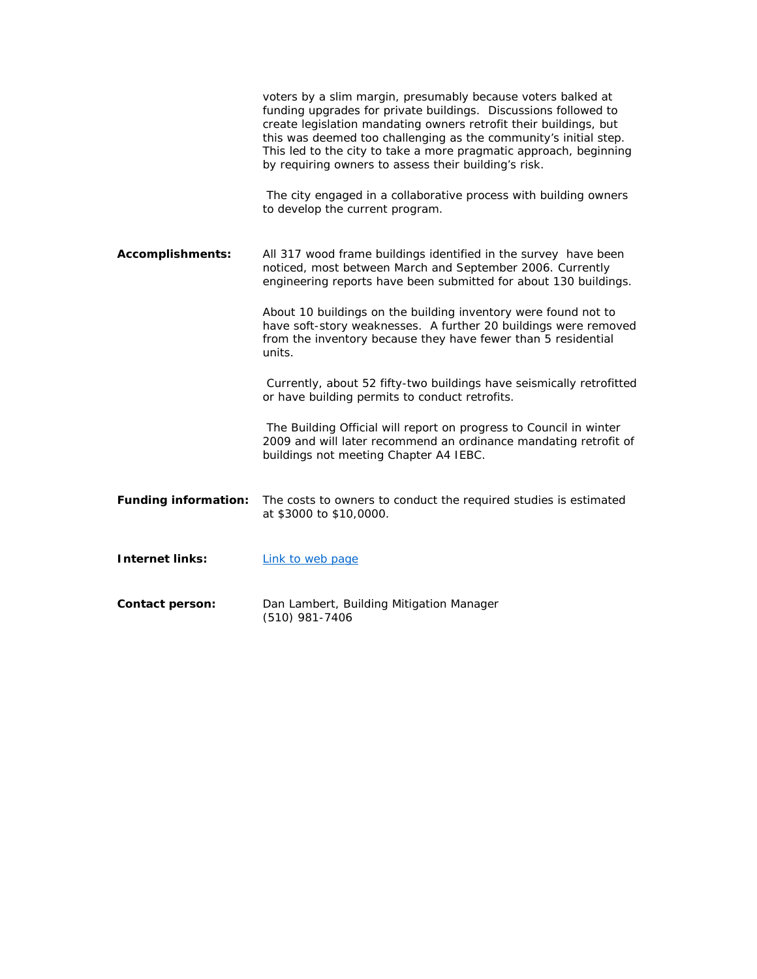|                             | voters by a slim margin, presumably because voters balked at<br>funding upgrades for private buildings. Discussions followed to<br>create legislation mandating owners retrofit their buildings, but<br>this was deemed too challenging as the community's initial step.<br>This led to the city to take a more pragmatic approach, beginning<br>by requiring owners to assess their building's risk.<br>The city engaged in a collaborative process with building owners<br>to develop the current program. |
|-----------------------------|--------------------------------------------------------------------------------------------------------------------------------------------------------------------------------------------------------------------------------------------------------------------------------------------------------------------------------------------------------------------------------------------------------------------------------------------------------------------------------------------------------------|
| <b>Accomplishments:</b>     | All 317 wood frame buildings identified in the survey have been<br>noticed, most between March and September 2006. Currently<br>engineering reports have been submitted for about 130 buildings.                                                                                                                                                                                                                                                                                                             |
|                             | About 10 buildings on the building inventory were found not to<br>have soft-story weaknesses. A further 20 buildings were removed<br>from the inventory because they have fewer than 5 residential<br>units.                                                                                                                                                                                                                                                                                                 |
|                             | Currently, about 52 fifty-two buildings have seismically retrofitted<br>or have building permits to conduct retrofits.                                                                                                                                                                                                                                                                                                                                                                                       |
|                             | The Building Official will report on progress to Council in winter<br>2009 and will later recommend an ordinance mandating retrofit of<br>buildings not meeting Chapter A4 IEBC.                                                                                                                                                                                                                                                                                                                             |
| <b>Funding information:</b> | The costs to owners to conduct the required studies is estimated<br>at \$3000 to \$10,0000.                                                                                                                                                                                                                                                                                                                                                                                                                  |
| <b>Internet links:</b>      | Link to web page                                                                                                                                                                                                                                                                                                                                                                                                                                                                                             |
| <b>Contact person:</b>      | Dan Lambert, Building Mitigation Manager<br>(510) 981-7406                                                                                                                                                                                                                                                                                                                                                                                                                                                   |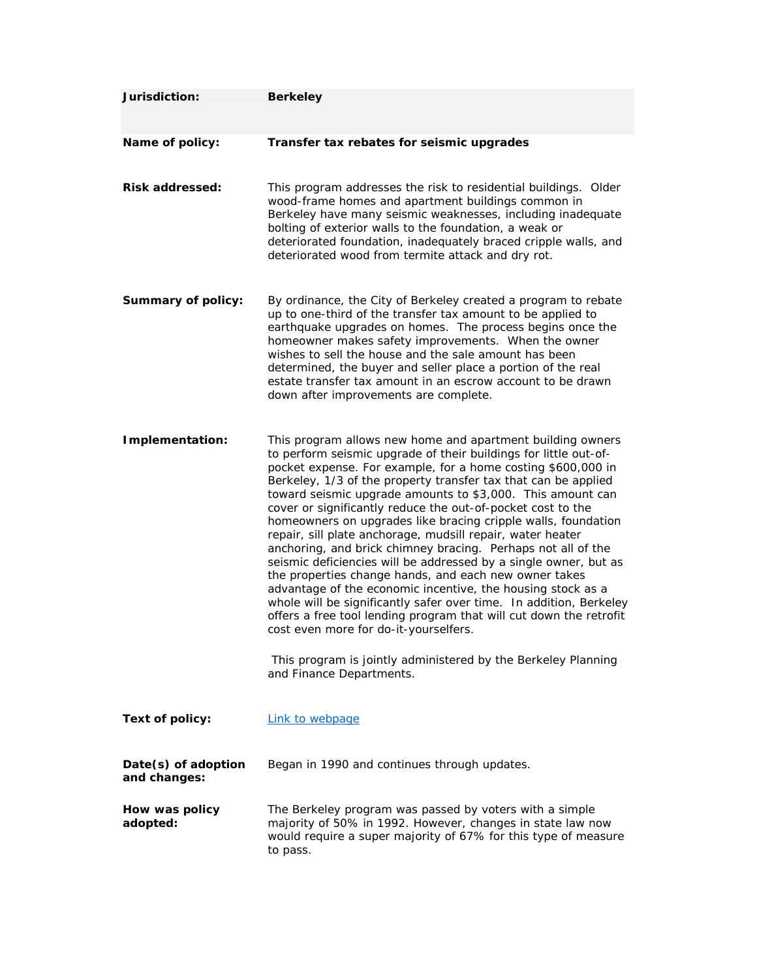| Jurisdiction:                       | <b>Berkeley</b>                                                                                                                                                                                                                                                                                                                                                                                                                                                                                                                                                                                                                                                                                                                                                                                                                                                                                                                                                                                                                                                            |
|-------------------------------------|----------------------------------------------------------------------------------------------------------------------------------------------------------------------------------------------------------------------------------------------------------------------------------------------------------------------------------------------------------------------------------------------------------------------------------------------------------------------------------------------------------------------------------------------------------------------------------------------------------------------------------------------------------------------------------------------------------------------------------------------------------------------------------------------------------------------------------------------------------------------------------------------------------------------------------------------------------------------------------------------------------------------------------------------------------------------------|
| Name of policy:                     | Transfer tax rebates for seismic upgrades                                                                                                                                                                                                                                                                                                                                                                                                                                                                                                                                                                                                                                                                                                                                                                                                                                                                                                                                                                                                                                  |
| <b>Risk addressed:</b>              | This program addresses the risk to residential buildings. Older<br>wood-frame homes and apartment buildings common in<br>Berkeley have many seismic weaknesses, including inadequate<br>bolting of exterior walls to the foundation, a weak or<br>deteriorated foundation, inadequately braced cripple walls, and<br>deteriorated wood from termite attack and dry rot.                                                                                                                                                                                                                                                                                                                                                                                                                                                                                                                                                                                                                                                                                                    |
| <b>Summary of policy:</b>           | By ordinance, the City of Berkeley created a program to rebate<br>up to one-third of the transfer tax amount to be applied to<br>earthquake upgrades on homes. The process begins once the<br>homeowner makes safety improvements. When the owner<br>wishes to sell the house and the sale amount has been<br>determined, the buyer and seller place a portion of the real<br>estate transfer tax amount in an escrow account to be drawn<br>down after improvements are complete.                                                                                                                                                                                                                                                                                                                                                                                                                                                                                                                                                                                         |
| Implementation:                     | This program allows new home and apartment building owners<br>to perform seismic upgrade of their buildings for little out-of-<br>pocket expense. For example, for a home costing \$600,000 in<br>Berkeley, 1/3 of the property transfer tax that can be applied<br>toward seismic upgrade amounts to \$3,000. This amount can<br>cover or significantly reduce the out-of-pocket cost to the<br>homeowners on upgrades like bracing cripple walls, foundation<br>repair, sill plate anchorage, mudsill repair, water heater<br>anchoring, and brick chimney bracing. Perhaps not all of the<br>seismic deficiencies will be addressed by a single owner, but as<br>the properties change hands, and each new owner takes<br>advantage of the economic incentive, the housing stock as a<br>whole will be significantly safer over time. In addition, Berkeley<br>offers a free tool lending program that will cut down the retrofit<br>cost even more for do-it-yourselfers.<br>This program is jointly administered by the Berkeley Planning<br>and Finance Departments. |
| <b>Text of policy:</b>              | Link to webpage                                                                                                                                                                                                                                                                                                                                                                                                                                                                                                                                                                                                                                                                                                                                                                                                                                                                                                                                                                                                                                                            |
| Date(s) of adoption<br>and changes: | Began in 1990 and continues through updates.                                                                                                                                                                                                                                                                                                                                                                                                                                                                                                                                                                                                                                                                                                                                                                                                                                                                                                                                                                                                                               |
| How was policy<br>adopted:          | The Berkeley program was passed by voters with a simple<br>majority of 50% in 1992. However, changes in state law now<br>would require a super majority of 67% for this type of measure<br>to pass.                                                                                                                                                                                                                                                                                                                                                                                                                                                                                                                                                                                                                                                                                                                                                                                                                                                                        |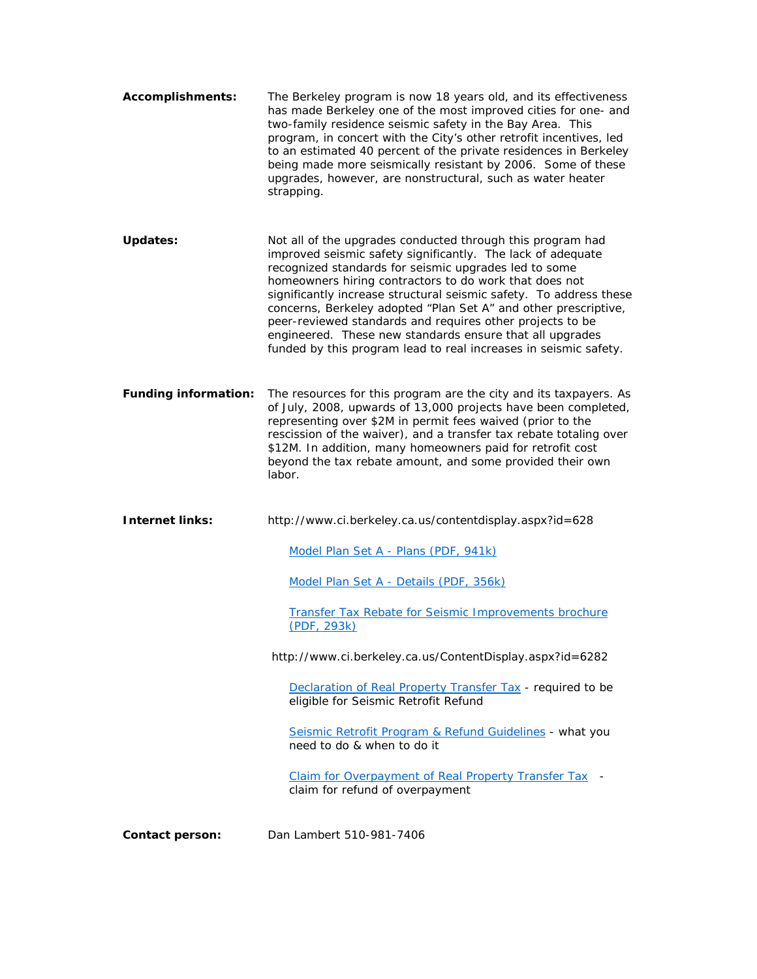| <b>Accomplishments:</b>     | The Berkeley program is now 18 years old, and its effectiveness<br>has made Berkeley one of the most improved cities for one- and<br>two-family residence seismic safety in the Bay Area. This<br>program, in concert with the City's other retrofit incentives, led<br>to an estimated 40 percent of the private residences in Berkeley<br>being made more seismically resistant by 2006. Some of these<br>upgrades, however, are nonstructural, such as water heater<br>strapping.                                                                                               |
|-----------------------------|------------------------------------------------------------------------------------------------------------------------------------------------------------------------------------------------------------------------------------------------------------------------------------------------------------------------------------------------------------------------------------------------------------------------------------------------------------------------------------------------------------------------------------------------------------------------------------|
| <b>Updates:</b>             | Not all of the upgrades conducted through this program had<br>improved seismic safety significantly. The lack of adequate<br>recognized standards for seismic upgrades led to some<br>homeowners hiring contractors to do work that does not<br>significantly increase structural seismic safety. To address these<br>concerns, Berkeley adopted "Plan Set A" and other prescriptive,<br>peer-reviewed standards and requires other projects to be<br>engineered. These new standards ensure that all upgrades<br>funded by this program lead to real increases in seismic safety. |
| <b>Funding information:</b> | The resources for this program are the city and its taxpayers. As<br>of July, 2008, upwards of 13,000 projects have been completed,<br>representing over \$2M in permit fees waived (prior to the<br>rescission of the waiver), and a transfer tax rebate totaling over<br>\$12M. In addition, many homeowners paid for retrofit cost<br>beyond the tax rebate amount, and some provided their own<br>labor.                                                                                                                                                                       |
|                             |                                                                                                                                                                                                                                                                                                                                                                                                                                                                                                                                                                                    |
| <b>Internet links:</b>      | http://www.ci.berkeley.ca.us/contentdisplay.aspx?id=628                                                                                                                                                                                                                                                                                                                                                                                                                                                                                                                            |
|                             | Model Plan Set A - Plans (PDF, 941k)                                                                                                                                                                                                                                                                                                                                                                                                                                                                                                                                               |
|                             | Model Plan Set A - Details (PDF, 356k)                                                                                                                                                                                                                                                                                                                                                                                                                                                                                                                                             |
|                             | Transfer Tax Rebate for Seismic Improvements brochure<br>(PDF, 293k)                                                                                                                                                                                                                                                                                                                                                                                                                                                                                                               |
|                             | http://www.ci.berkeley.ca.us/ContentDisplay.aspx?id=6282                                                                                                                                                                                                                                                                                                                                                                                                                                                                                                                           |
|                             | Declaration of Real Property Transfer Tax - required to be<br>eligible for Seismic Retrofit Refund                                                                                                                                                                                                                                                                                                                                                                                                                                                                                 |
|                             | Seismic Retrofit Program & Refund Guidelines - what you<br>need to do & when to do it                                                                                                                                                                                                                                                                                                                                                                                                                                                                                              |
|                             | Claim for Overpayment of Real Property Transfer Tax<br>claim for refund of overpayment                                                                                                                                                                                                                                                                                                                                                                                                                                                                                             |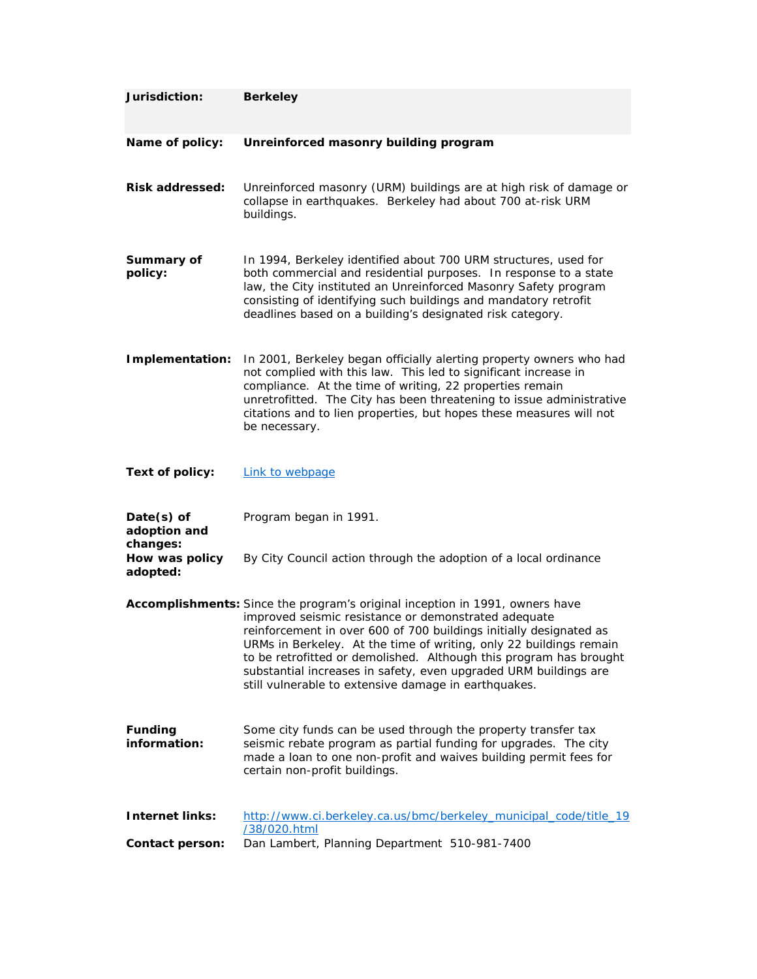| Jurisdiction:                          | <b>Berkeley</b>                                                                                                                                                                                                                                                                                                                                                                                                                                                                    |
|----------------------------------------|------------------------------------------------------------------------------------------------------------------------------------------------------------------------------------------------------------------------------------------------------------------------------------------------------------------------------------------------------------------------------------------------------------------------------------------------------------------------------------|
| Name of policy:                        | Unreinforced masonry building program                                                                                                                                                                                                                                                                                                                                                                                                                                              |
| <b>Risk addressed:</b>                 | Unreinforced masonry (URM) buildings are at high risk of damage or<br>collapse in earthquakes. Berkeley had about 700 at-risk URM<br>buildings.                                                                                                                                                                                                                                                                                                                                    |
| Summary of<br>policy:                  | In 1994, Berkeley identified about 700 URM structures, used for<br>both commercial and residential purposes. In response to a state<br>law, the City instituted an Unreinforced Masonry Safety program<br>consisting of identifying such buildings and mandatory retrofit<br>deadlines based on a building's designated risk category.                                                                                                                                             |
| Implementation:                        | In 2001, Berkeley began officially alerting property owners who had<br>not complied with this law. This led to significant increase in<br>compliance. At the time of writing, 22 properties remain<br>unretrofitted. The City has been threatening to issue administrative<br>citations and to lien properties, but hopes these measures will not<br>be necessary.                                                                                                                 |
| Text of policy:                        | Link to webpage                                                                                                                                                                                                                                                                                                                                                                                                                                                                    |
| Date(s) of<br>adoption and<br>changes: | Program began in 1991.                                                                                                                                                                                                                                                                                                                                                                                                                                                             |
| How was policy<br>adopted:             | By City Council action through the adoption of a local ordinance                                                                                                                                                                                                                                                                                                                                                                                                                   |
|                                        | Accomplishments: Since the program's original inception in 1991, owners have<br>improved seismic resistance or demonstrated adequate<br>reinforcement in over 600 of 700 buildings initially designated as<br>URMs in Berkeley. At the time of writing, only 22 buildings remain<br>to be retrofitted or demolished. Although this program has brought<br>substantial increases in safety, even upgraded URM buildings are<br>still vulnerable to extensive damage in earthquakes. |
| <b>Funding</b><br>information:         | Some city funds can be used through the property transfer tax<br>seismic rebate program as partial funding for upgrades. The city<br>made a loan to one non-profit and waives building permit fees for<br>certain non-profit buildings.                                                                                                                                                                                                                                            |
| <b>Internet links:</b>                 | http://www.ci.berkeley.ca.us/bmc/berkeley_municipal_code/title_19<br>/38/020.html                                                                                                                                                                                                                                                                                                                                                                                                  |
| Contact person:                        | Dan Lambert, Planning Department 510-981-7400                                                                                                                                                                                                                                                                                                                                                                                                                                      |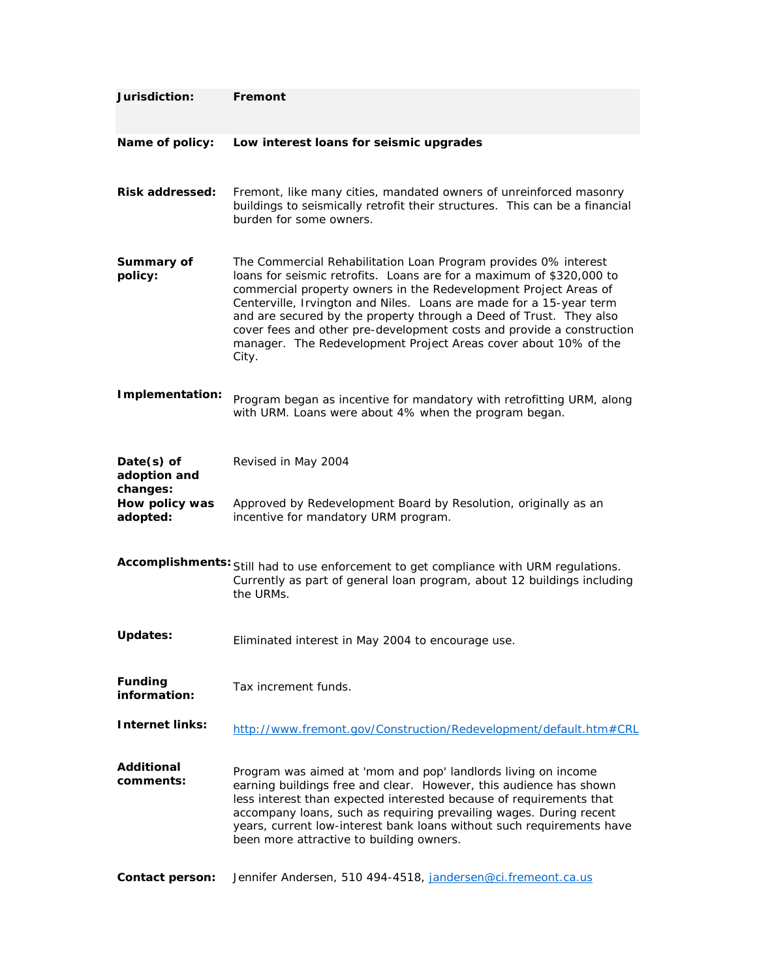| Jurisdiction:                            | Fremont                                                                                                                                                                                                                                                                                                                                                                                                                                                                                                       |
|------------------------------------------|---------------------------------------------------------------------------------------------------------------------------------------------------------------------------------------------------------------------------------------------------------------------------------------------------------------------------------------------------------------------------------------------------------------------------------------------------------------------------------------------------------------|
| Name of policy:                          | Low interest loans for seismic upgrades                                                                                                                                                                                                                                                                                                                                                                                                                                                                       |
| <b>Risk addressed:</b>                   | Fremont, like many cities, mandated owners of unreinforced masonry<br>buildings to seismically retrofit their structures. This can be a financial<br>burden for some owners.                                                                                                                                                                                                                                                                                                                                  |
| Summary of<br>policy:                    | The Commercial Rehabilitation Loan Program provides 0% interest<br>loans for seismic retrofits. Loans are for a maximum of \$320,000 to<br>commercial property owners in the Redevelopment Project Areas of<br>Centerville, Irvington and Niles. Loans are made for a 15-year term<br>and are secured by the property through a Deed of Trust. They also<br>cover fees and other pre-development costs and provide a construction<br>manager. The Redevelopment Project Areas cover about 10% of the<br>City. |
| Implementation:                          | Program began as incentive for mandatory with retrofitting URM, along<br>with URM. Loans were about 4% when the program began.                                                                                                                                                                                                                                                                                                                                                                                |
| $Date(s)$ of<br>adoption and<br>changes: | Revised in May 2004                                                                                                                                                                                                                                                                                                                                                                                                                                                                                           |
| How policy was<br>adopted:               | Approved by Redevelopment Board by Resolution, originally as an<br>incentive for mandatory URM program.                                                                                                                                                                                                                                                                                                                                                                                                       |
|                                          | Accomplishments: Still had to use enforcement to get compliance with URM regulations.<br>Currently as part of general loan program, about 12 buildings including<br>the URMs.                                                                                                                                                                                                                                                                                                                                 |
| <b>Updates:</b>                          | Eliminated interest in May 2004 to encourage use.                                                                                                                                                                                                                                                                                                                                                                                                                                                             |
| <b>Funding</b><br>information:           | Tax increment funds.                                                                                                                                                                                                                                                                                                                                                                                                                                                                                          |
| <b>Internet links:</b>                   | http://www.fremont.gov/Construction/Redevelopment/default.htm#CRL                                                                                                                                                                                                                                                                                                                                                                                                                                             |
| <b>Additional</b><br>comments:           | Program was aimed at 'mom and pop' landlords living on income<br>earning buildings free and clear. However, this audience has shown<br>less interest than expected interested because of requirements that<br>accompany loans, such as requiring prevailing wages. During recent<br>years, current low-interest bank loans without such requirements have<br>been more attractive to building owners.                                                                                                         |
| <b>Contact person:</b>                   | Jennifer Andersen, 510 494-4518, jandersen@ci.fremeont.ca.us                                                                                                                                                                                                                                                                                                                                                                                                                                                  |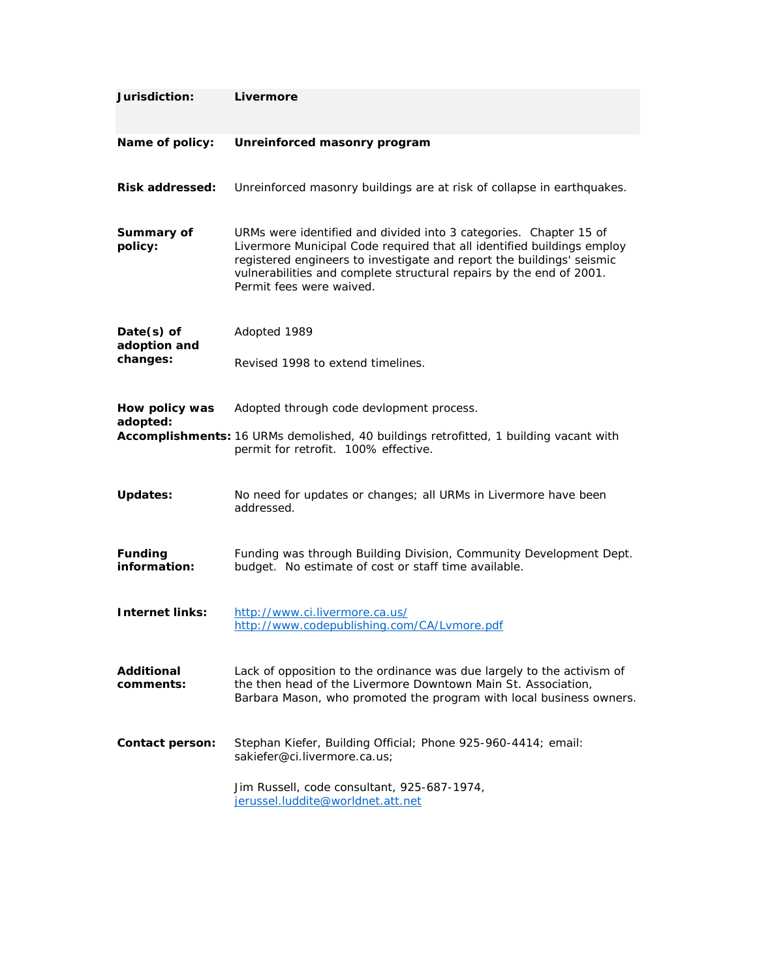| Jurisdiction:                  | Livermore                                                                                                                                                                                                                                                                                                               |
|--------------------------------|-------------------------------------------------------------------------------------------------------------------------------------------------------------------------------------------------------------------------------------------------------------------------------------------------------------------------|
| Name of policy:                | Unreinforced masonry program                                                                                                                                                                                                                                                                                            |
| <b>Risk addressed:</b>         | Unreinforced masonry buildings are at risk of collapse in earthquakes.                                                                                                                                                                                                                                                  |
| Summary of<br>policy:          | URMs were identified and divided into 3 categories. Chapter 15 of<br>Livermore Municipal Code required that all identified buildings employ<br>registered engineers to investigate and report the buildings' seismic<br>vulnerabilities and complete structural repairs by the end of 2001.<br>Permit fees were waived. |
| Date(s) of                     | Adopted 1989                                                                                                                                                                                                                                                                                                            |
| adoption and<br>changes:       | Revised 1998 to extend timelines.                                                                                                                                                                                                                                                                                       |
| How policy was<br>adopted:     | Adopted through code devlopment process.                                                                                                                                                                                                                                                                                |
|                                | Accomplishments: 16 URMs demolished, 40 buildings retrofitted, 1 building vacant with<br>permit for retrofit. 100% effective.                                                                                                                                                                                           |
| <b>Updates:</b>                | No need for updates or changes; all URMs in Livermore have been<br>addressed.                                                                                                                                                                                                                                           |
| <b>Funding</b><br>information: | Funding was through Building Division, Community Development Dept.<br>budget. No estimate of cost or staff time available.                                                                                                                                                                                              |
| <b>Internet links:</b>         | http://www.ci.livermore.ca.us/<br>http://www.codepublishing.com/CA/Lvmore.pdf                                                                                                                                                                                                                                           |
| Additional<br>comments:        | Lack of opposition to the ordinance was due largely to the activism of<br>the then head of the Livermore Downtown Main St. Association,<br>Barbara Mason, who promoted the program with local business owners.                                                                                                          |
| <b>Contact person:</b>         | Stephan Kiefer, Building Official; Phone 925-960-4414; email:<br>sakiefer@ci.livermore.ca.us;                                                                                                                                                                                                                           |
|                                | Jim Russell, code consultant, 925-687-1974,<br>jerussel.luddite@worldnet.att.net                                                                                                                                                                                                                                        |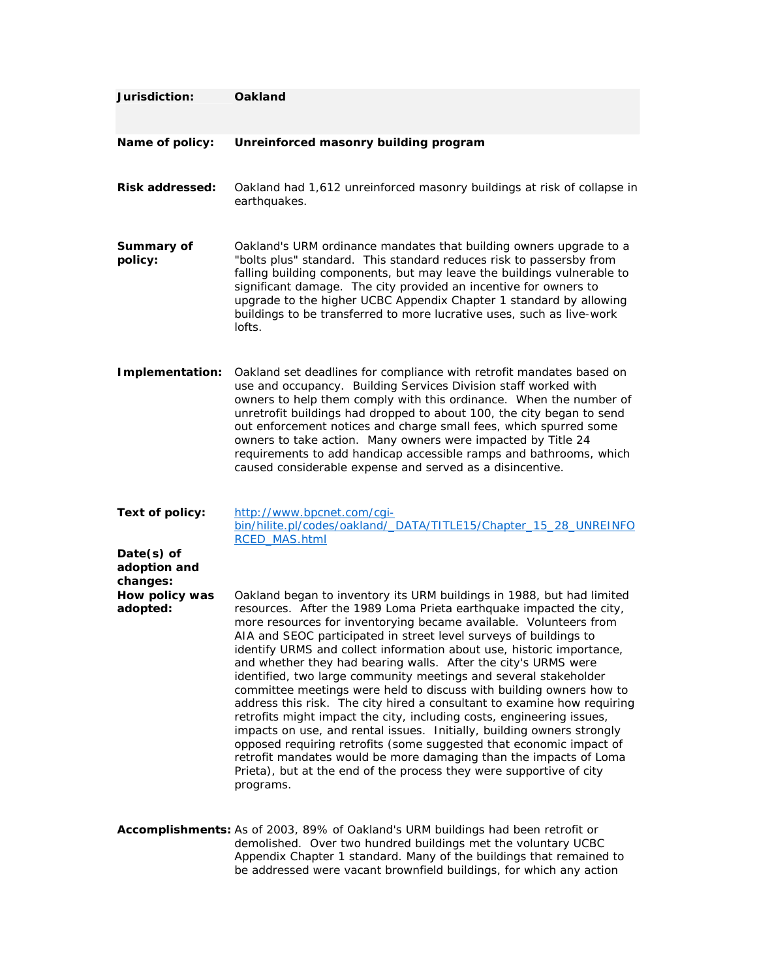| Jurisdiction:                            | <b>Oakland</b>                                                                                                                                                                                                                                                                                                                                                                                                                                                                                                                                                                                                                                                                                                                                                                                                                                                                                                                                                                                                                             |
|------------------------------------------|--------------------------------------------------------------------------------------------------------------------------------------------------------------------------------------------------------------------------------------------------------------------------------------------------------------------------------------------------------------------------------------------------------------------------------------------------------------------------------------------------------------------------------------------------------------------------------------------------------------------------------------------------------------------------------------------------------------------------------------------------------------------------------------------------------------------------------------------------------------------------------------------------------------------------------------------------------------------------------------------------------------------------------------------|
| Name of policy:                          | Unreinforced masonry building program                                                                                                                                                                                                                                                                                                                                                                                                                                                                                                                                                                                                                                                                                                                                                                                                                                                                                                                                                                                                      |
| <b>Risk addressed:</b>                   | Oakland had 1,612 unreinforced masonry buildings at risk of collapse in<br>earthquakes.                                                                                                                                                                                                                                                                                                                                                                                                                                                                                                                                                                                                                                                                                                                                                                                                                                                                                                                                                    |
| Summary of<br>policy:                    | Oakland's URM ordinance mandates that building owners upgrade to a<br>"bolts plus" standard. This standard reduces risk to passersby from<br>falling building components, but may leave the buildings vulnerable to<br>significant damage. The city provided an incentive for owners to<br>upgrade to the higher UCBC Appendix Chapter 1 standard by allowing<br>buildings to be transferred to more lucrative uses, such as live-work<br>lofts.                                                                                                                                                                                                                                                                                                                                                                                                                                                                                                                                                                                           |
| Implementation:                          | Oakland set deadlines for compliance with retrofit mandates based on<br>use and occupancy. Building Services Division staff worked with<br>owners to help them comply with this ordinance. When the number of<br>unretrofit buildings had dropped to about 100, the city began to send<br>out enforcement notices and charge small fees, which spurred some<br>owners to take action. Many owners were impacted by Title 24<br>requirements to add handicap accessible ramps and bathrooms, which<br>caused considerable expense and served as a disincentive.                                                                                                                                                                                                                                                                                                                                                                                                                                                                             |
| Text of policy:                          | http://www.bpcnet.com/cqi-<br>bin/hilite.pl/codes/oakland/_DATA/TITLE15/Chapter_15_28_UNREINFO<br>RCED_MAS.html                                                                                                                                                                                                                                                                                                                                                                                                                                                                                                                                                                                                                                                                                                                                                                                                                                                                                                                            |
| $Date(s)$ of<br>adoption and<br>changes: |                                                                                                                                                                                                                                                                                                                                                                                                                                                                                                                                                                                                                                                                                                                                                                                                                                                                                                                                                                                                                                            |
| How policy was<br>adopted:               | Oakland began to inventory its URM buildings in 1988, but had limited<br>resources. After the 1989 Loma Prieta earthquake impacted the city,<br>more resources for inventorying became available. Volunteers from<br>AIA and SEOC participated in street level surveys of buildings to<br>identify URMS and collect information about use, historic importance,<br>and whether they had bearing walls. After the city's URMS were<br>identified, two large community meetings and several stakeholder<br>committee meetings were held to discuss with building owners how to<br>address this risk. The city hired a consultant to examine how requiring<br>retrofits might impact the city, including costs, engineering issues,<br>impacts on use, and rental issues. Initially, building owners strongly<br>opposed requiring retrofits (some suggested that economic impact of<br>retrofit mandates would be more damaging than the impacts of Loma<br>Prieta), but at the end of the process they were supportive of city<br>programs. |
|                                          | Accomplishments: As of 2003, 89% of Oakland's URM buildings had been retrofit or<br>demolished. Over two hundred buildings met the voluntary UCBC<br>Appendix Chapter 1 standard. Many of the buildings that remained to<br>be addressed were vacant brownfield buildings, for which any action                                                                                                                                                                                                                                                                                                                                                                                                                                                                                                                                                                                                                                                                                                                                            |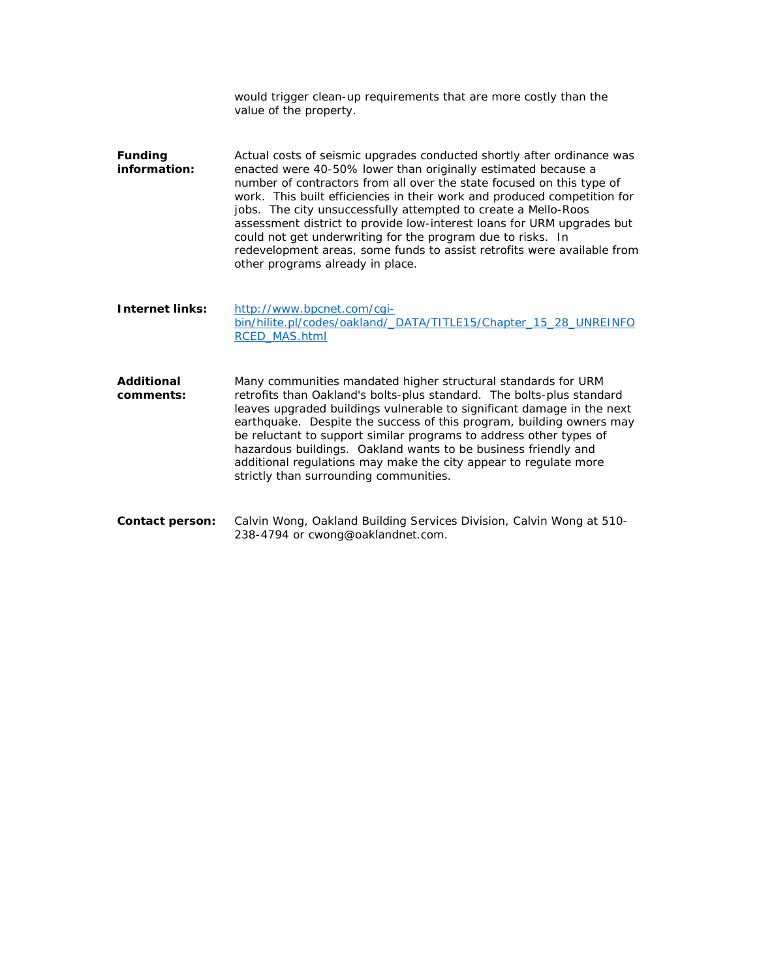|                                | would trigger clean-up requirements that are more costly than the<br>value of the property.                                                                                                                                                                                                                                                                                                                                                                                                                                                                                                                            |
|--------------------------------|------------------------------------------------------------------------------------------------------------------------------------------------------------------------------------------------------------------------------------------------------------------------------------------------------------------------------------------------------------------------------------------------------------------------------------------------------------------------------------------------------------------------------------------------------------------------------------------------------------------------|
| <b>Funding</b><br>information: | Actual costs of seismic upgrades conducted shortly after ordinance was<br>enacted were 40-50% lower than originally estimated because a<br>number of contractors from all over the state focused on this type of<br>work. This built efficiencies in their work and produced competition for<br>jobs. The city unsuccessfully attempted to create a Mello-Roos<br>assessment district to provide low-interest loans for URM upgrades but<br>could not get underwriting for the program due to risks. In<br>redevelopment areas, some funds to assist retrofits were available from<br>other programs already in place. |
| <b>Internet links:</b>         | http://www.bpcnet.com/cqi-<br>bin/hilite.pl/codes/oakland/_DATA/TITLE15/Chapter_15_28_UNREINFO<br><b>RCED MAS.html</b>                                                                                                                                                                                                                                                                                                                                                                                                                                                                                                 |
| Additional<br>comments:        | Many communities mandated higher structural standards for URM<br>retrofits than Oakland's bolts-plus standard. The bolts-plus standard<br>leaves upgraded buildings vulnerable to significant damage in the next<br>earthquake. Despite the success of this program, building owners may<br>be reluctant to support similar programs to address other types of<br>hazardous buildings. Oakland wants to be business friendly and<br>additional regulations may make the city appear to regulate more<br>strictly than surrounding communities.                                                                         |
| Contact person:                | Calvin Wong, Oakland Building Services Division, Calvin Wong at 510-<br>238-4794 or cwong@oaklandnet.com.                                                                                                                                                                                                                                                                                                                                                                                                                                                                                                              |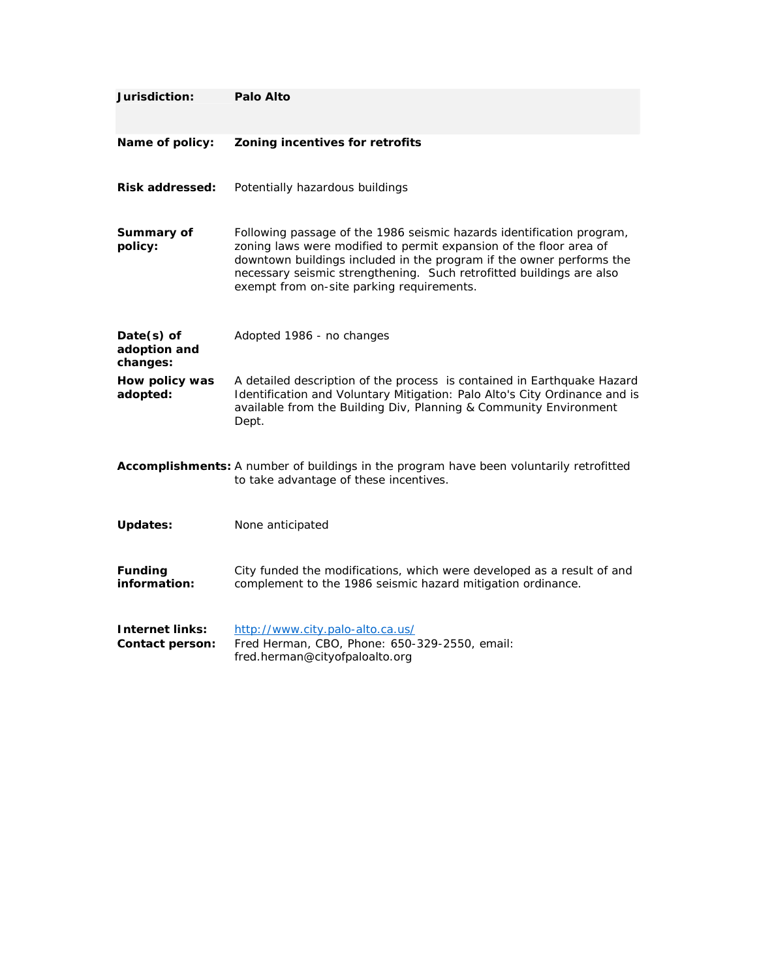| Jurisdiction:                             | Palo Alto                                                                                                                                                                                                                                                                                                                                |
|-------------------------------------------|------------------------------------------------------------------------------------------------------------------------------------------------------------------------------------------------------------------------------------------------------------------------------------------------------------------------------------------|
| Name of policy:                           | Zoning incentives for retrofits                                                                                                                                                                                                                                                                                                          |
| <b>Risk addressed:</b>                    | Potentially hazardous buildings                                                                                                                                                                                                                                                                                                          |
| Summary of<br>policy:                     | Following passage of the 1986 seismic hazards identification program,<br>zoning laws were modified to permit expansion of the floor area of<br>downtown buildings included in the program if the owner performs the<br>necessary seismic strengthening. Such retrofitted buildings are also<br>exempt from on-site parking requirements. |
| Date(s) of<br>adoption and<br>changes:    | Adopted 1986 - no changes                                                                                                                                                                                                                                                                                                                |
| How policy was<br>adopted:                | A detailed description of the process is contained in Earthquake Hazard<br>Identification and Voluntary Mitigation: Palo Alto's City Ordinance and is<br>available from the Building Div, Planning & Community Environment<br>Dept.                                                                                                      |
|                                           | Accomplishments: A number of buildings in the program have been voluntarily retrofitted<br>to take advantage of these incentives.                                                                                                                                                                                                        |
| <b>Updates:</b>                           | None anticipated                                                                                                                                                                                                                                                                                                                         |
| <b>Funding</b><br>information:            | City funded the modifications, which were developed as a result of and<br>complement to the 1986 seismic hazard mitigation ordinance.                                                                                                                                                                                                    |
| <b>Internet links:</b><br>Contact person: | http://www.city.palo-alto.ca.us/<br>Fred Herman, CBO, Phone: 650-329-2550, email:<br>fred.herman@cityofpaloalto.org                                                                                                                                                                                                                      |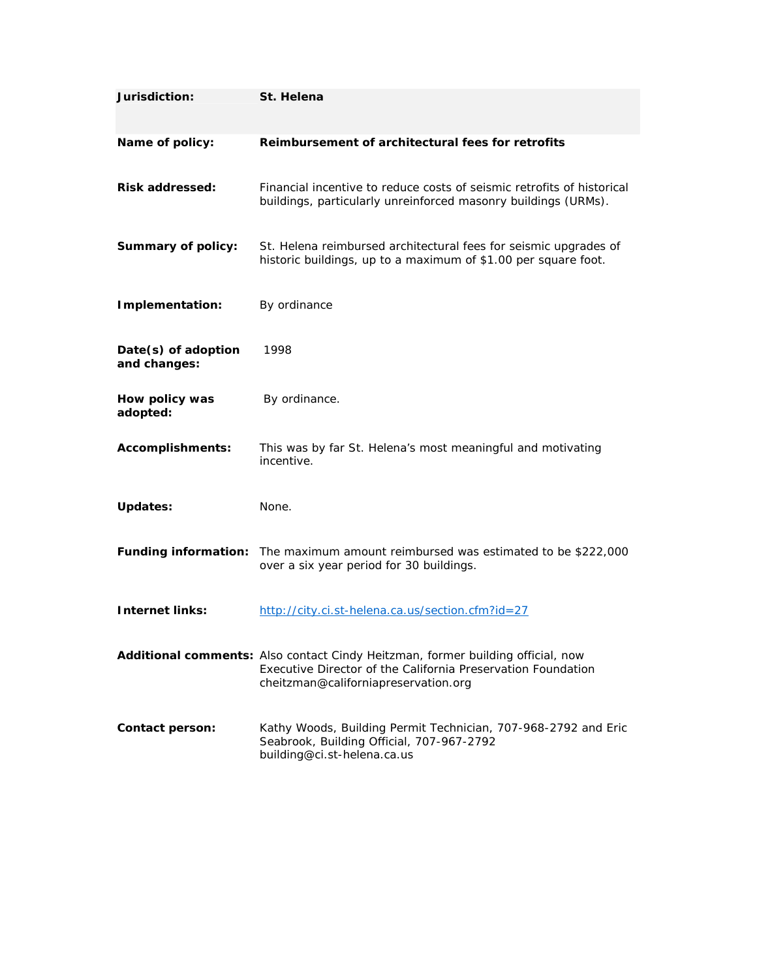| Jurisdiction:                       | St. Helena                                                                                                                                                                              |
|-------------------------------------|-----------------------------------------------------------------------------------------------------------------------------------------------------------------------------------------|
| Name of policy:                     | Reimbursement of architectural fees for retrofits                                                                                                                                       |
| <b>Risk addressed:</b>              | Financial incentive to reduce costs of seismic retrofits of historical<br>buildings, particularly unreinforced masonry buildings (URMs).                                                |
| <b>Summary of policy:</b>           | St. Helena reimbursed architectural fees for seismic upgrades of<br>historic buildings, up to a maximum of \$1.00 per square foot.                                                      |
| Implementation:                     | By ordinance                                                                                                                                                                            |
| Date(s) of adoption<br>and changes: | 1998                                                                                                                                                                                    |
| How policy was<br>adopted:          | By ordinance.                                                                                                                                                                           |
| <b>Accomplishments:</b>             | This was by far St. Helena's most meaningful and motivating<br>incentive.                                                                                                               |
| <b>Updates:</b>                     | None.                                                                                                                                                                                   |
|                                     | Funding information: The maximum amount reimbursed was estimated to be \$222,000<br>over a six year period for 30 buildings.                                                            |
| <b>Internet links:</b>              | http://city.ci.st-helena.ca.us/section.cfm?id=27                                                                                                                                        |
|                                     | Additional comments: Also contact Cindy Heitzman, former building official, now<br>Executive Director of the California Preservation Foundation<br>cheitzman@californiapreservation.org |
| Contact person:                     | Kathy Woods, Building Permit Technician, 707-968-2792 and Eric<br>Seabrook, Building Official, 707-967-2792<br>building@ci.st-helena.ca.us                                              |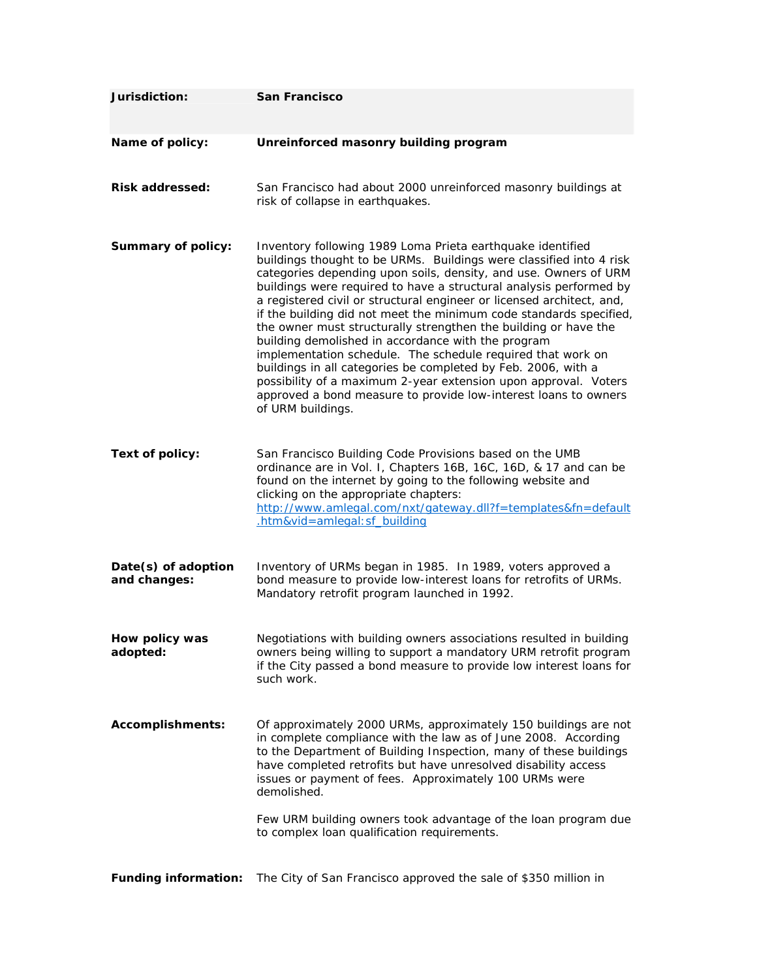| Jurisdiction:                       | San Francisco                                                                                                                                                                                                                                                                                                                                                                                                                                                                                                                                                                                                                                                                                                                                                                                                                                  |
|-------------------------------------|------------------------------------------------------------------------------------------------------------------------------------------------------------------------------------------------------------------------------------------------------------------------------------------------------------------------------------------------------------------------------------------------------------------------------------------------------------------------------------------------------------------------------------------------------------------------------------------------------------------------------------------------------------------------------------------------------------------------------------------------------------------------------------------------------------------------------------------------|
| Name of policy:                     | Unreinforced masonry building program                                                                                                                                                                                                                                                                                                                                                                                                                                                                                                                                                                                                                                                                                                                                                                                                          |
| <b>Risk addressed:</b>              | San Francisco had about 2000 unreinforced masonry buildings at<br>risk of collapse in earthquakes.                                                                                                                                                                                                                                                                                                                                                                                                                                                                                                                                                                                                                                                                                                                                             |
| <b>Summary of policy:</b>           | Inventory following 1989 Loma Prieta earthquake identified<br>buildings thought to be URMs. Buildings were classified into 4 risk<br>categories depending upon soils, density, and use. Owners of URM<br>buildings were required to have a structural analysis performed by<br>a registered civil or structural engineer or licensed architect, and,<br>if the building did not meet the minimum code standards specified,<br>the owner must structurally strengthen the building or have the<br>building demolished in accordance with the program<br>implementation schedule. The schedule required that work on<br>buildings in all categories be completed by Feb. 2006, with a<br>possibility of a maximum 2-year extension upon approval. Voters<br>approved a bond measure to provide low-interest loans to owners<br>of URM buildings. |
| Text of policy:                     | San Francisco Building Code Provisions based on the UMB<br>ordinance are in Vol. I, Chapters 16B, 16C, 16D, & 17 and can be<br>found on the internet by going to the following website and<br>clicking on the appropriate chapters:<br>http://www.amlegal.com/nxt/gateway.dll?f=templates&fn=default<br>.htm&vid=amlegal: sf_building                                                                                                                                                                                                                                                                                                                                                                                                                                                                                                          |
| Date(s) of adoption<br>and changes: | Inventory of URMs began in 1985. In 1989, voters approved a<br>bond measure to provide low-interest loans for retrofits of URMs.<br>Mandatory retrofit program launched in 1992.                                                                                                                                                                                                                                                                                                                                                                                                                                                                                                                                                                                                                                                               |
| How policy was<br>adopted:          | Negotiations with building owners associations resulted in building<br>owners being willing to support a mandatory URM retrofit program<br>if the City passed a bond measure to provide low interest loans for<br>such work.                                                                                                                                                                                                                                                                                                                                                                                                                                                                                                                                                                                                                   |
| <b>Accomplishments:</b>             | Of approximately 2000 URMs, approximately 150 buildings are not<br>in complete compliance with the law as of June 2008. According<br>to the Department of Building Inspection, many of these buildings<br>have completed retrofits but have unresolved disability access<br>issues or payment of fees. Approximately 100 URMs were<br>demolished.<br>Few URM building owners took advantage of the loan program due<br>to complex loan qualification requirements.                                                                                                                                                                                                                                                                                                                                                                             |
| <b>Funding information:</b>         | The City of San Francisco approved the sale of \$350 million in                                                                                                                                                                                                                                                                                                                                                                                                                                                                                                                                                                                                                                                                                                                                                                                |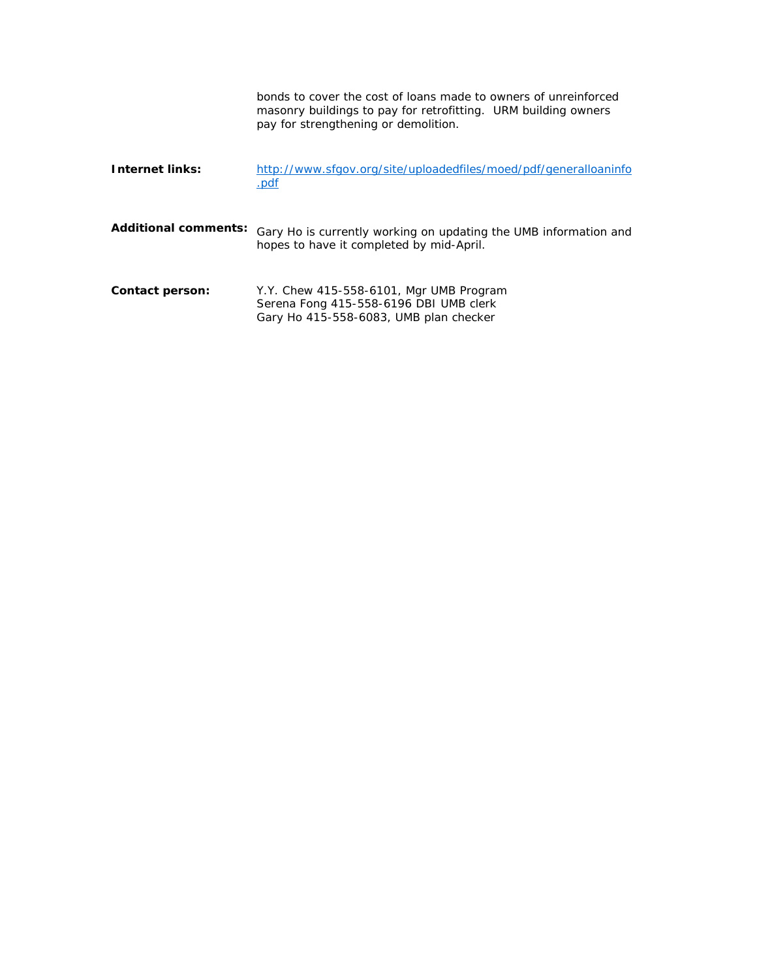|                             | bonds to cover the cost of loans made to owners of unreinforced<br>masonry buildings to pay for retrofitting. URM building owners<br>pay for strengthening or demolition. |
|-----------------------------|---------------------------------------------------------------------------------------------------------------------------------------------------------------------------|
| <b>Internet links:</b>      | http://www.sfgov.org/site/uploadedfiles/moed/pdf/generalloaninfo<br>.pdf                                                                                                  |
| <b>Additional comments:</b> | Gary Ho is currently working on updating the UMB information and<br>hopes to have it completed by mid-April.                                                              |
| <b>Contact person:</b>      | Y.Y. Chew 415-558-6101, Mgr UMB Program<br>Serena Fong 415-558-6196 DBI UMB clerk<br>Gary Ho 415-558-6083, UMB plan checker                                               |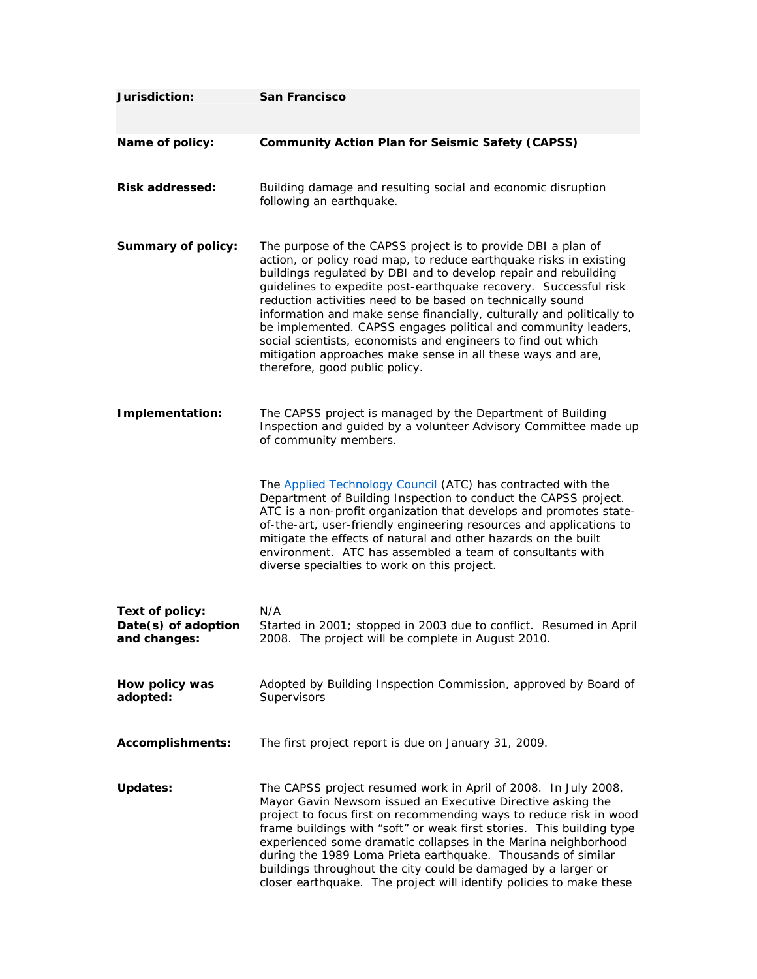| Jurisdiction:                                          | <b>San Francisco</b>                                                                                                                                                                                                                                                                                                                                                                                                                                                                                                                                                                                                                                 |
|--------------------------------------------------------|------------------------------------------------------------------------------------------------------------------------------------------------------------------------------------------------------------------------------------------------------------------------------------------------------------------------------------------------------------------------------------------------------------------------------------------------------------------------------------------------------------------------------------------------------------------------------------------------------------------------------------------------------|
| Name of policy:                                        | <b>Community Action Plan for Seismic Safety (CAPSS)</b>                                                                                                                                                                                                                                                                                                                                                                                                                                                                                                                                                                                              |
| <b>Risk addressed:</b>                                 | Building damage and resulting social and economic disruption<br>following an earthquake.                                                                                                                                                                                                                                                                                                                                                                                                                                                                                                                                                             |
| <b>Summary of policy:</b>                              | The purpose of the CAPSS project is to provide DBI a plan of<br>action, or policy road map, to reduce earthquake risks in existing<br>buildings regulated by DBI and to develop repair and rebuilding<br>guidelines to expedite post-earthquake recovery. Successful risk<br>reduction activities need to be based on technically sound<br>information and make sense financially, culturally and politically to<br>be implemented. CAPSS engages political and community leaders,<br>social scientists, economists and engineers to find out which<br>mitigation approaches make sense in all these ways and are,<br>therefore, good public policy. |
| Implementation:                                        | The CAPSS project is managed by the Department of Building<br>Inspection and guided by a volunteer Advisory Committee made up<br>of community members.                                                                                                                                                                                                                                                                                                                                                                                                                                                                                               |
|                                                        | The <b>Applied Technology Council</b> (ATC) has contracted with the<br>Department of Building Inspection to conduct the CAPSS project.<br>ATC is a non-profit organization that develops and promotes state-<br>of-the-art, user-friendly engineering resources and applications to<br>mitigate the effects of natural and other hazards on the built<br>environment. ATC has assembled a team of consultants with<br>diverse specialties to work on this project.                                                                                                                                                                                   |
| Text of policy:<br>Date(s) of adoption<br>and changes: | N/A<br>Started in 2001; stopped in 2003 due to conflict. Resumed in April<br>2008. The project will be complete in August 2010.                                                                                                                                                                                                                                                                                                                                                                                                                                                                                                                      |
| How policy was<br>adopted:                             | Adopted by Building Inspection Commission, approved by Board of<br>Supervisors                                                                                                                                                                                                                                                                                                                                                                                                                                                                                                                                                                       |
| <b>Accomplishments:</b>                                | The first project report is due on January 31, 2009.                                                                                                                                                                                                                                                                                                                                                                                                                                                                                                                                                                                                 |
| <b>Updates:</b>                                        | The CAPSS project resumed work in April of 2008. In July 2008,<br>Mayor Gavin Newsom issued an Executive Directive asking the<br>project to focus first on recommending ways to reduce risk in wood<br>frame buildings with "soft" or weak first stories. This building type<br>experienced some dramatic collapses in the Marina neighborhood<br>during the 1989 Loma Prieta earthquake. Thousands of similar<br>buildings throughout the city could be damaged by a larger or<br>closer earthquake. The project will identify policies to make these                                                                                               |